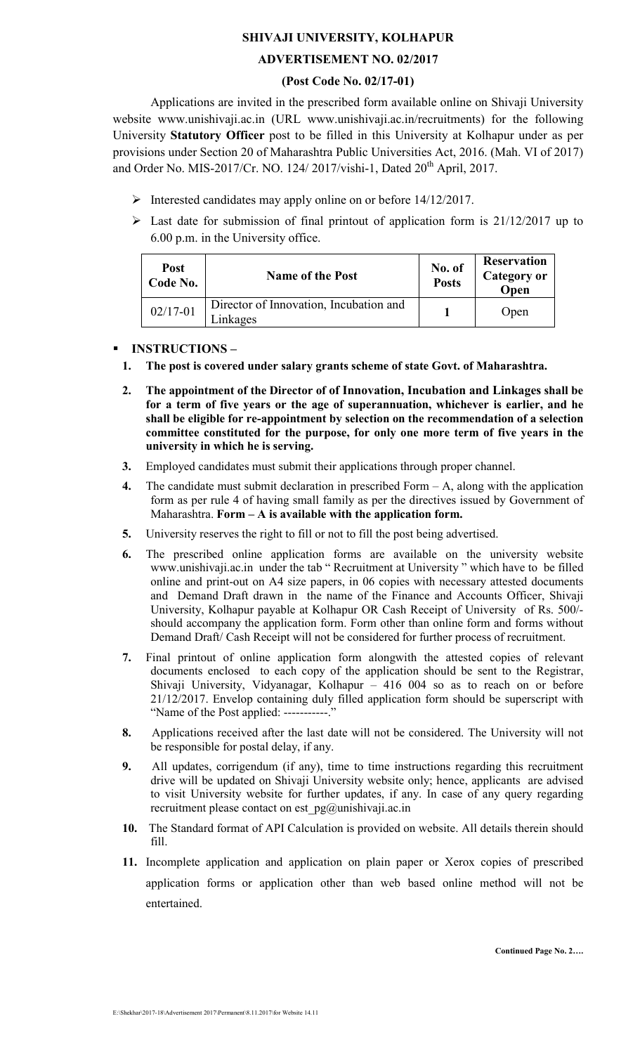# SHIVAJI UNIVERSITY, KOLHAPUR

## ADVERTISEMENT NO. 02/2017

#### (Post Code No. 02/17-01)

Applications are invited in the prescribed form available online on Shivaji University website www.unishivaji.ac.in (URL www.unishivaji.ac.in/recruitments) for the following University Statutory Officer post to be filled in this University at Kolhapur under as per provisions under Section 20 of Maharashtra Public Universities Act, 2016. (Mah. VI of 2017) and Order No. MIS-2017/Cr. NO. 124/ 2017/vishi-1, Dated 20<sup>th</sup> April, 2017.

- $\triangleright$  Interested candidates may apply online on or before 14/12/2017.
- $\triangleright$  Last date for submission of final printout of application form is 21/12/2017 up to 6.00 p.m. in the University office.

| <b>Post</b><br>Code No. | <b>Name of the Post</b>                            | No. of<br><b>Posts</b> | <b>Reservation</b><br><b>Category or</b><br>Open |
|-------------------------|----------------------------------------------------|------------------------|--------------------------------------------------|
| $02/17 - 01$            | Director of Innovation, Incubation and<br>.inkages |                        | Open                                             |

# - INSTRUCTIONS –

- 1. The post is covered under salary grants scheme of state Govt. of Maharashtra.
- 2. The appointment of the Director of of Innovation, Incubation and Linkages shall be for a term of five years or the age of superannuation, whichever is earlier, and he shall be eligible for re-appointment by selection on the recommendation of a selection committee constituted for the purpose, for only one more term of five years in the university in which he is serving.
- 3. Employed candidates must submit their applications through proper channel.
- 4. The candidate must submit declaration in prescribed Form  $-A$ , along with the application form as per rule 4 of having small family as per the directives issued by Government of Maharashtra. Form – A is available with the application form.
- 5. University reserves the right to fill or not to fill the post being advertised.
- 6. The prescribed online application forms are available on the university website www.unishivaji.ac.in under the tab " Recruitment at University " which have to be filled online and print-out on A4 size papers, in 06 copies with necessary attested documents and Demand Draft drawn in the name of the Finance and Accounts Officer, Shivaji University, Kolhapur payable at Kolhapur OR Cash Receipt of University of Rs. 500/ should accompany the application form. Form other than online form and forms without Demand Draft/ Cash Receipt will not be considered for further process of recruitment.
- 7. Final printout of online application form alongwith the attested copies of relevant documents enclosed to each copy of the application should be sent to the Registrar, Shivaji University, Vidyanagar, Kolhapur – 416 004 so as to reach on or before 21/12/2017. Envelop containing duly filled application form should be superscript with "Name of the Post applied: -----------."
- 8. Applications received after the last date will not be considered. The University will not be responsible for postal delay, if any.
- 9. All updates, corrigendum (if any), time to time instructions regarding this recruitment drive will be updated on Shivaji University website only; hence, applicants are advised to visit University website for further updates, if any. In case of any query regarding recruitment please contact on est pg@unishivaji.ac.in
- 10. The Standard format of API Calculation is provided on website. All details therein should fill.
- 11. Incomplete application and application on plain paper or Xerox copies of prescribed application forms or application other than web based online method will not be entertained.